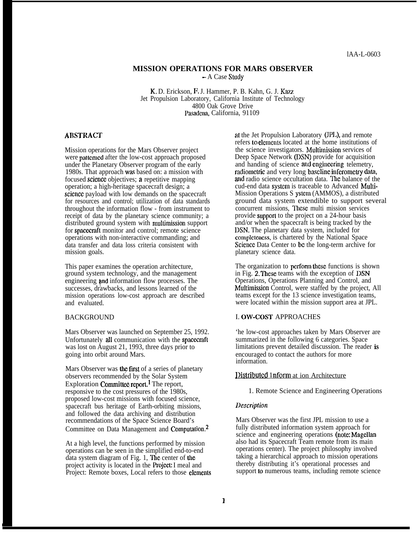## **MISSION OPERATIONS FOR MARS OBSERVER**

**-** A Case Study

K, D. Erickson, F, J. Hammer, P. B. Kahn, G. J. Kazz Jet Propulsion Laboratory, California Institute of Technology 4800 Oak Grove Drive Pasadena, California, 91109

## **ABSTRACT**

Mission operations for the Mars Observer project were patterned after the low-cost approach proposed under the Planetary Observer program of the early 1980s. That approach was based on: a mission with focused science objectives; a repetitive mapping operation; a high-heritage spacecraft design; a science payload with low demands on the spacecraft for resources and control; utilization of data standards throughout the information flow - from instrument to receipt of data by the planetary science community; a distributed ground system with multimission support for spaccaaft monitor and control; remote science operations with non-interactive commanding; and data transfer and data loss criteria consistent with mission goals.

This paper examines the operation architecture, ground system technology, and the management engineering and information flow processes. The successes, drawbacks, and lessons learned of the mission operations low-cost approach are described and evaluated.

## **BACKGROUND**

Mars Observer was launched on September 25, 1992. Unfortunately all communication with the spacecraft was lost on August 21, 1993, three days prior to going into orbit around Mars.

Mars Observer was the first of a series of planetary observers recommended by the Solar System Exploration Committee report.<sup>1</sup> The report, responsive to the cost pressures of the 1980s, proposed low-cost missions with focused science, spacecraft bus heritage of Earth-orbiting missions, and followed the data archiving and distribution recommendations of the Space Science Board's Committee on Data Management and Computation.2

At a high level, the functions performed by mission operations can be seen in the simplified end-to-end data system diagram of Fig. 1, The center of the project activity is located in the **Project**: I meal and Project: Remote boxes, Local refers to those elements at the Jet Propulsion Laboratory (JPL), and remote refers to clcmcnts located at the home institutions of the science investigators. Multimission services of Deep Space Network (DSN) provide for acquisition and handing of science and engineering telemetry, radiometric and very long baseline inferometry data, and radio science occultation data. The balance of the cud-end data systcm is traceable to Advanced Multi-Mission Operations S ystcm (AMMOS), a distributed ground data system extendible to support several concurrent missions, These multi mission services provide support to the project on a 24-hour basis and/or when the spacecraft is being tracked by the DSN. The planetary data system, included for complctencss, is chartered by the National Space Scicncc Data Center to bc the long-term archive for planetary science data.

The organization to perform these functions is shown in Fig. 2, These teams with the exception of DSN Operations, Operations Planning and Control, and Multimission Control, were staffed by the project, All teams except for the 13 science investigation teams, were located within the mission support area at JPL.

#### I. OW-COST APPROACHES

'he low-cost approaches taken by Mars Observer are summarized in the following 6 categories. Space limitations prevent detailed discussion. The reader is encouraged to contact the authors for more information.

#### Distributed 1nform at ion Architecture

1. Remote Science and Engineering Operations

#### *Ikcripfion*

Mars Observer was the first JPL mission to use a fully distributed information system approach for science and engineering operations (note: Magellan also had its Spacecraft Team remote from its main operations center). The project philosophy involved taking a hierarchical approach to mission operations thereby distributing it's operational processes and support to numerous teams, including remote science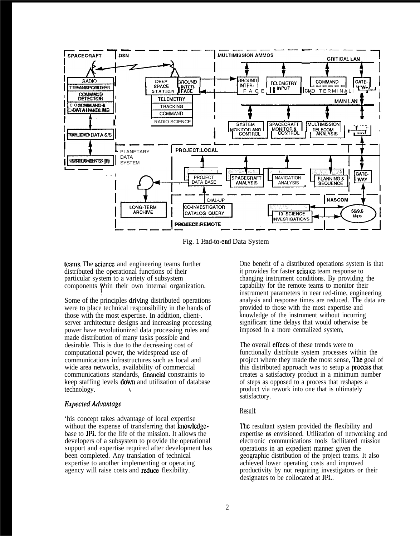

Fig. 1 End-to-end Data System

teams. The science and engineering teams further distributed the operational functions of their particular system to a variety of subsystem components Whin their own internal organization.

Some of the principles driving distributed operations were to place technical responsibility in the hands of those with the most expertise. In addition, client-. server architecture designs and increasing processing power have revolutionized data processing roles and made distribution of many tasks possible and desirable. This is due to the decreasing cost of computational power, the widespread use of communications infrastructures such as local and wide area networks, availability of commercial communications standards, financial constraints to keep staffing levels **down** and utilization of database technology.

## **Expected Advantage**

'his concept takes advantage of local expertise without the expense of transferring that knowledgebase to **JPL** for the life of the mission. It allows the developers of a subsystem to provide the operational support and expertise required after development has been completed. Any translation of technical expertise to another implementing or operating agency will raise costs and reduce flexibility.

One benefit of a distributed operations system is that it provides for faster science team response to changing instrument conditions. By providing the capability for the remote teams to monitor their instrument parameters in near red-time, engineering analysis and response times are reduced. The data are provided to those with the most expertise and knowledge of the instrument without incurring significant time delays that would otherwise be imposed in a more centralized system,

The overall effects of these trends were to functionally distribute system processes within the project where they made the most sense. The goal of this distributed approach was to setup a **process** that creates a satisfactory product in a minimum number of steps as opposed to a process that reshapes a product via rework into one that is ultimately satisfactory.

# **Result**

The resultant system provided the flexibility and expertise as envisioned. Utilization of networking and electronic communications tools facilitated mission operations in an expedient manner given the geographic distribution of the project teams. It also achieved lower operating costs and improved productivity by not requiring investigators or their designates to be collocated at JPL.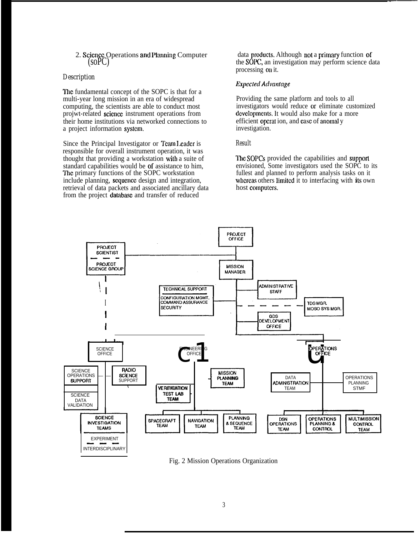2. Science Operations and Planning Computer  $(SoPC)$ 

### Description

The fundamental concept of the SOPC is that for a multi-year long mission in an era of widespread computing, the scientists are able to conduct most projwt-related science instrument operations from their home institutions via networked connections to a project information system.

Since the Principal Investigator or Team Leader is responsible for overall instrument operation, it was thought that providing a workstation with a suite of standard capabilities would be of assistance to him, The primary functions of the SOPC workstation include planning, sequence design and integration, retrieval of data packets and associated ancillary data from the project database and transfer of reduced

data products. Although not a primary function of the SOPC, an investigation may perform science data processing on it.

# **Expected Advantage**

Providing the same platform and tools to all investigators would reduce or eliminate customized developments. It would also make for a more efficient operation, and case of anomal y investigation.

#### **Result**

The SOPCs provided the capabilities and support envisioned, Some investigators used the SOPC to its fullest and planned to perform analysis tasks on it whereas others limited it to interfacing with its own host computers.



Fig. 2 Mission Operations Organization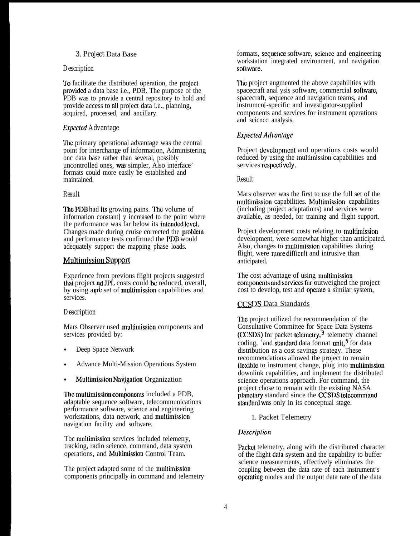# *3. Project* Data Base

## *Description*

To facilitate the distributed operation, the projccl provided a data base i.e., PDB. The purpose of the PDB was to provide a central repository to hold and provide access to all project data i.e., planning, acquired, processed, and ancillary.

# *Expected Advantage*

'lhc primary operational advantage was the central point for interchange of information, Administering onc data base rather than several, possibly uncontrolled ones, was simpler, Also interface' formats could more easily bc established and maintained.

# *Result*

The PDB had its growing pains. The volume of information constant] y increased to the point where the performance was far below its intended level. Changes made during cruise corrected the problcm and performance tests confirmed the PDB would adequately support the mapping phase loads.

# **Multimission Support**

Experience from previous flight projects suggested that project ad JPL costs could be reduced, overall, by using a ore set of multimission capabilities and services.

# *Description*

Mars Observer used multimission components and services provided by:

- Deep Space Network
- Advance Multi-Mission Operations System
- Multimission Navigation Organization

The multimission components included a PDB, adaptable sequence software, telecommunications performance software, science and engineering workstations, data network, and multimission navigation facility and software.

Tbc multimission services included telemetry, tracking, radio science, command, data systcm operations, and Muhimissiou Control Team.

The project adapted some of the multimission components principally in command and telemetry formats, sequence software, science and engineering workstation integrated environment, and navigation software.

The project augmented the above capabilities with spacecraft anal ysis software, commercial software, spacecraft, sequence and navigation teams, and instrumcn[-specific and investigator-supplied components and services for instrument operations and scicncc analysis,

# *Expected Advantage*

Project dcvclopmcnt and operations costs would reduced by using the multimission capabilities and services respectively.

## *Result*

Mars observer was the first to use the full set of the multimission capabilities. Multimission capabilities (including project adaptations) and services were available, as needed, for training and flight support.

Project development costs relating to multimission development, were somewhat higher than anticipated. Also, changes to multimissiou capabilities during flight, were more difficult and intrusive than anticipated.

The cost advantage of using multimission components and services far outweighed the project cost to develop, test and opcmtc a similar system,

# **CCSDS Data Standards**

The project utilized the recommendation of the Consultative Committee for Space Data Systems (CCSDS) for packet telemetry,<sup>3</sup> telemetry channel coding,  $\frac{4}{3}$  and standard data format unit,  $\frac{5}{3}$  for data distribution as a cost savings strategy. These recommendations allowed the project to remain flexible to instrument change, plug into multimission downlink capabilities, and implement the distributed science operations approach. For command, the project chose to remain with the existing NASA planetary standard since the CCSDS telecommand standard was only in its conceptual stage.

1. Packet Telemetry

# *Ikscriplion*

Packet telemetry, along with the distributed character of the flight data system and the capability to buffer science measurements, effectively eliminates the coupling between the data rate of each instrument's opcra[ing modes and the output data rate of the data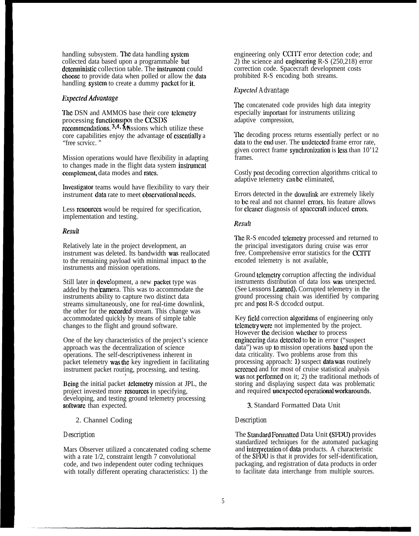handling subsystem. The data handling system collected data based upon a programmable but deterministic collection table. The instrument could choose to provide data when polled or allow the data handling system to create a dummy packet for it.

### *ExpcctcdAdvantage*

The DSN and AMMOS base their core telemetry processing functions upon the CCSDS  $r_{\rm c}$  recommendations.  $3.4$ , Missions which utilize these core capabilities enjoy the advantage of essentially a "free scrvicc. "

Mission operations would have flexibility in adapting to changes made in the flight data system instrument complement, data modes and rates.

Invcsligator teams would have flexibility to vary their instrument data rate to meet observational needs.

Less resources would be required for specification, implementation and testing.

### *RrwlI*

Relatively late in the project development, an instrument was deleted. Its bandwidth was reallocated to the remaining payload with minimal impact to the instruments and mission operations.

Still later in **development**, a new **packet** type was<br>added by the **cam**era. This was to accommodate the<br>instruments ability to canture two distinct data instruments ability to capture two distinct data streams simultaneously, one for real-time downlink, the other for the **recorded** stream. This change was accommodated quickly by means of simple table changes to the flight and ground software.

One of the key characteristics of the project's science approach was the decentralization of science operations. The self-descriptiveness inherent in packet telemetry was the key ingredient in facilitating instrument packet routing, processing, and testing.

Being the initial packet itclemetry mission at JPL, the project invested more resources in specifying, developing, and testing ground telemetry processing software than expected.

\

### 2. Channel Coding

## *Description*

Mars Observer utilized a concatenated coding scheme with a rate  $1/2$ , constraint length 7 convolutional code, and two independent outer coding techniques with totally different operating characteristics:  $\overline{1}$ ) the

engineering only CCITT error detection code; and 2) the science and cnginccring R-S (250,218) error correction code. Spacecraft development costs prohibited R-S encoding both streams.

## *fixpected Advantage*

The concatenated code provides high data integrity especially important for instruments utilizing adaptive compression,

The decoding process returns essentially perfect or no data to the end user. The undetected frame error rate, given correct frame synchronization is less than  $10'12$ frames.

Costly post decoding correction algorithms critical to adaptive telemetry can be eliminated,

Errors detected in the downlink are extremely likely to be real and not channel errors, his feature allows for cleaner diagnosis of spacecraft induced errors.

### *Resuh*

The R-S encoded telemetry processed and returned to the principal investigators during cruise was error free. Comprehensive error statistics for the CCITf encoded telemetry is not available,

Ground telemetry corruption affecting the individual instruments distribution of data loss was unexpected. (See Lessons Lcarucd). Corrupted telemetry in the ground processing chain was identified by comparing prc and post R-S dccodcd output.

Key field correction algorithms of engineering only tclcmctry wem not implemented by the project. However the decision whether to process enginecring data detected to be in error ("suspect data") was up to mission operations based upon the data criticality. Two problems arose from this processing approach:  $1$ ) suspect data was routinely screened and for most of cruise statistical analysis was not performed on it; 2) the traditional methods of storing and displaying suspect data was problematic and required uncxpected operational workarounds.

3. Standard Formatted Data Unit

## *Description*

The Standard Formatted Data Unit (SFDU) provides standardized techniques for the automated packaging and interpretation of data products. A characteristic of the SFDU is that it provides for self-identification, packaging, and registration of data products in order to facilitate data interchange from multiple sources.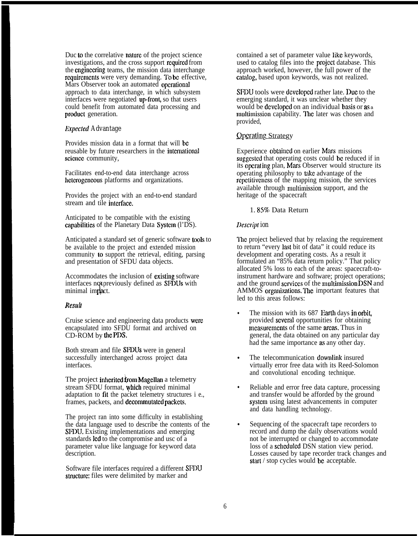Duc to the correlative nature of the project science investigations, and the cross support required from the cnginccring teams, the mission data interchange requirements were very demanding. To be effective, Mars Observer took an automated operational approach to data interchange, in which subsystem interfaces were negotiated up-front, so that users could benefit from automated data processing and producl generation.

### *I{xpccted Advantage*

Provides mission data in a format that will bc reusable by future researchers in the international science community,

Facilitates end-to-end data interchange across heterogeneous platforms and organizations.

Provides the project with an end-to-end standard stream and tile intcrfacc.

Anticipated to be compatible with the existing capabilities of the Planetary Data System (l'DS).

Anticipated a standard set of generic software tools to be available to the project and extended mission community to support the retrieval, editing, parsing and presentation of SFDU data objects.

Accommodates the inclusion of exisling software interfaces not previously defined as SFDUs with minimal impact.

#### *Restdl*

Cruise science and engineering data products were encapsulated into SFDU format and archived on CD-ROM by the PDS.

Both stream and file SFDUS were in general successfully interchanged across project data interfaces.

The project inherited from Magellan a telemetry stream SFDU format, yhich required minimal adaptation to fit the packet telemetry structures i e., frames, packets, and decommutated packets.

The project ran into some difficulty in establishing the data language used to describe the contents of the SFDU. Existing implementations and emerging standards led to the compromise and usc of a parameter value like language for keyword data description.

Software file interfaces required a different SFDU structure: files were delimited by marker and

contained a set of parameter value like keywords, used to catalog files into the project database. This approach worked, however, the full power of the calalog, based upon keywords, was not realized.

SFDU tools were developed rather late. Due to the emerging standard, it was unclear whether they would be developed on an individual basis or as a multimission capability. The later was chosen and provided,

## **Operating Strategy**

Experience obtained on earlier Mars missions suggested that operating costs could be reduced if in its operating plan, Mars Observer would structure its operating philosophy to take advantage of the rcpetitivcncss of the mapping mission, the services available through multimissicm support, and the heritage of the spacecraft

### 1. 85% Data Return

### *Dcscript ion*

Ihc project believed that by relaxing the requirement to return "every last bit of data" it could reduce its development and operating costs. As a result it formulated an "85% data return policy." That policy allocated 5% loss to each of the areas: spacecraft-toinstrument hardware and software; project operations; and the ground services of the multimission DSN and AMMOS organizations. The important features that led to this areas follows:

- The mission with its 687 Earth days in orbit, provided several opportunities for obtaining measurements of the same areas. Thus in general, the data obtained on any particular day had the same importance as any other day.
- The telecommunication downlink insured virtually error free data with its Reed-Solomon and convolutional encoding technique.
- Reliable and error free data capture, processing and transfer would be afforded by the ground systcm using latest advancements in computer and data handling technology.
- Sequencing of the spacecraft tape recorders to record and dump the daily observations would not be interrupted or changed to accommodate loss of a scheduled DSN station view period. Losses caused by tape recorder track changes and start / stop cycles would be acceptable.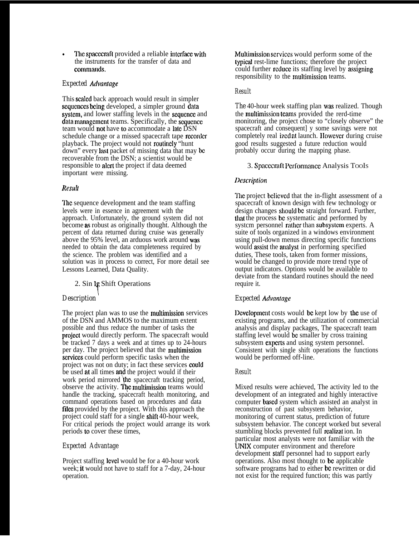The spacecraft provided a reliable interface with the instruments for the transfer of data and commands.

# *Expected Advmtage*

This scaled back approach would result in simpler sequences being developed, a simpler ground data system, and lower staffing levels in the sequence and  $data$  management teams. Specifically, the sequence team would not have to accommodate a late DSN schedule change or a missed spacecraft tape recorder playback. The project would not routinely "hunt" down" every last packet of missing data that may be recoverable from the DSN; a scientist would be responsible to alert the project if data deemed important were missing.

# $Result$

The sequence development and the team staffing levels were in essence in agreement with the approach. Unfortunately, the ground system did not become as robust as originally thought. Although the percent of data returned during cruise was generally above the 95% level, an arduous work around was needed to obtain the data completeness required by the science. The problem was identified and a solution was in process to correct, For more detail see Lessons Learned, Data Quality.

2. Sin le Shift Operations Y

# *Description '*

The project plan was to use the multimission services of the DSN and AMMOS to the maximum extent possible and thus reduce the number of tasks the projccl would directly perform. The spacecraft would be tracked 7 days a week and at times up to 24-hours per day. The project believed that the multimission services could perform specific tasks when the project was not on duty; in fact these services could be used at all times and the project would if their work period mirrored the spacecraft tracking period, observe the activity. The multimission teams would handle the tracking, spacecraft health monitoring, and command operations based on procedures and data files provided by the project. With this approach the project could staff for a single shift 40-hour week, For critical periods the project would arrange its work periods to cover these times,

# *Expected Advantage*

Project staffing level would be for a 40-hour work week; it would not have to staff for a 7-day, 24-hour operation.

Multimission services would perform some of the lypicat rest-lime functions; therefore the project could further reduce its staffing level by assigning responsibility to the multimission teams.

# *Result*

*The* 40-hour week staffing plan was realized. Though the multimission teams provided the rerd-time monitoring, the project chose to "closely observe" the spacecraft and consequent] y some savings were not completely real izcd at launch. I Iowevcr during cruise good results suggested a future reduction would probably occur during the mapping phase.

3. Spacecraft Performance Analysis TooIs

# *I>escrip~ion*

*'Jlc* project bclicvcd that the in-flight assessment of a spacecraft of known design with few technology or design changes should be straight forward. Further, that the process be systematic and performed by system personnel rather than subsystem experts. A suite of tools organized in a windows environment using pull-down menus directing specific functions would assist the anatyst in performing specified duties, These tools, taken from former missions, would be changed to provide more trend type of output indicators. Options would be available to deviate from the standard routines should the need require it.

# **Expected Advantage**

Development costs would be kept low by the use of existing programs, and the utilization of commercial analysis and display packages, The spacecraft team staffing level would bc smaller by cross training subsystem experts and using system personnel. Consistent with single shift operations the functions would be performed off-line.

# *Result*

Mixed results were achieved, The activity led to the development of an integrated and highly interactive computer ba\$cd system which assisted an analyst in reconstruction of past subsystem behavior, monitoring of current status, prediction of future subsystem behavior. The concept worked but several stumbling blocks prevented full realization. In particular most analysts were not familiar with the lJNIX computer environment and therefore development staff personnel had to support early operations. Also most thought to bc applicable software programs had to either be rewritten or did not exist for the required function; this was partly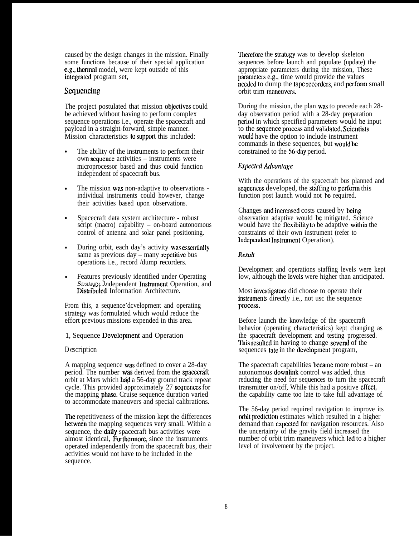caused by the design changes in the mission. Finally some functions because of their special application c.g., thermal model, were kept outside of this integrated program set,

## Sequencing

The project postulated that mission objectives could be achieved without having to perform complex sequence operations i.e., operate the spacecraft and payload in a straight-forward, simple manner. Mission characteristics to supporl this included:

- The ability of the instruments to perform their own scqucucc activities – instruments were microprocessor based and thus could function independent of spacecraft bus.
- The mission was non-adaptive to observations individual instruments could however, change their activities based upon observations.
- Spacecraft data system architecture robust script (macro) capability – on-board autonomous control of antenna and solar panel positioning.
- During orbit, each day's activity was essentially same as previous  $day -$  many repetitive bus operations i.e., record /dump recorders.
- Features previously identified under Operating Strategy Independent Instmmeut Operation, and Distributed Information Architecture.

From this, a sequence'dcveloprnent and operating strategy was formulated which would reduce the effort previous missions expended in this area.

## 1, Sequence Development and Operation

## *Description*

A mapping sequence was defined to cover a 28-day period. The number was derived from the spacecraft orbit at Mars which had a 56-day ground track repeat cycle. This provided approximately 27 sequences for the mapping **phase**. Cruise sequence duration varied to accommodate maneuvers and special calibrations.

The repetitiveness of the mission kept the differences bctween the mapping sequences very small. Within a sequence, the daily spacecraft bus activities were almost identical, Furthermore, since the instruments operated independently from the spacecraft bus, their activities would not have to be included in the sequence.

Therefore the strategy was to develop skeleton sequences before launch and populate (update) the appropriate parameters during the mission, These paramclcrs e.g., time would provide the values needed to dump the tape recorders, and perform small orbit trim maucuvcrs.

During the mission, the plan was to precede each 28 day observation period with a 28-day preparation period in which specified parameters would bc input to the scqucncc pmccss and vatidatcd. Scicutists would have the option to include instrument commands in these sequences, but would bc constrained to the 56-day period.

# *Expected Advuntage*

With the operations of the spacecraft bus planned and sequences developed, the staffing to perform this function post launch would not bc required.

Changes and increased costs caused by being observation adaptive would bc mitigated. Science would have the flexibility to be adaptive within the constraints of their own instrument (refer to Independent Instrument Operation).

## *Resul(*

Development and operations staffing levels were kept low, although the levels were higher than anticipated.

Most investigators did choose to operate their instruments directly i.e., not usc the sequence pmccss.

Before launch the knowledge of the spacecraft behavior (operating characteristics) kept changing as the spacecraft development and testing progressed. This resulted in having to change several of the sequences late in the development program,

The spacecraft capabilities became more robust  $-$  an autonomous downlink control was added, thus reducing the need for sequences to turn the spacecraft transmitter on/off, While this had a positive effect, the capability came too late to take full advantage of.

The 56-day period required navigation to improve its orbit prediction estimates which resulted in a higher demand than expected for navigation resources. Also the uncertainty of the gravity field increased the number of orbit trim maneuvers which led to a higher level of involvement by the project.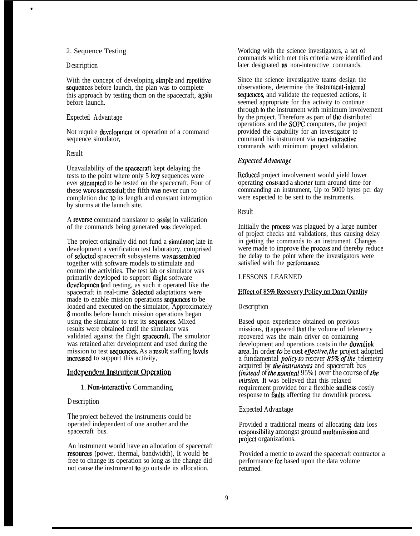### 2. Sequence Testing

#### *Description*

4

With the concept of developing simple and repetitive sequences before launch, the plan was to complete this approach by testing thcm on the spacecraft, again before launch.

#### *Expected Advantage*

Not require development or operation of a command sequence simulator,

#### *Result*

Unavailability of the spacecraft kept delaying the tests to the point where only 5 kcy sequences were ever attempted to be tested on the spacecraft. Four of these wcre successful; the fifth was never run to completion duc to its length and constant interruption by storms at the launch site.

A rcvcrsc command translator to assist in validation of the commands being generated was developed.

The project originally did not fund a simulator; late in development a verification test laboratory, comprised of selected spacecraft subsystems was assembled together with software models to stimulate and control the activities. The test lab or simulator was primarily developed to support flight software developmen and testing, as such it operated like the spacecraft in real-time. Selected adaptations were made to enable mission operations sequences to be loaded and executed on the simulator, Approximately 8 months before launch mission operations began using the simulator to test its sequenees. Mixed results were obtained until the simulator was validated against the flight spaeeeraft, The simulator was retained after development and used during the mission to test sequences. As a result staffing levels increased to support this activity,

## Independent Instrument Operation

# 1. Non-interactive Commanding

#### *Description*

The project believed the instruments could be operated independent of one another and the spacecraft bus.

An instrument would have an allocation of spacecraft resourees (power, thermal, bandwidth), It would bc free to change its operation so long as the change did not cause the instrument to go outside its allocation.

Working with the science investigators, a set of commands which met this criteria were identified and later designated as non-interactive commands.

Since the science investigative teams design the observations, determine the instrument-internal sequences, and validate the requested actions, it seemed appropriate for this activity to continue through to the instrument with minimum involvement by the project. Therefore as part of the distributed operations and the SOPC computers, the project provided the capability for an investigator to command his instrument via non-interactive commands with minimum project validation.

### *Expected Advantage*

Reduced project involvement would yield lower operating costs and a shorter turn-around time for commanding an instrument, Up to 5000 bytes pcr day were expected to be sent to the instruments.

#### *Result*

Initially the **process** was plagued by a large number of project checks and validations, thus causing delay in getting the commands to an instrument. Changes were made to improve the process and thereby reduce the delay to the point where the investigators were satisfied with the performance. Result<br>
Initially the process wa<br>
of project checks and v<br>
in getting the command<br>
were made to improve<br>
the delay to the point<br>
satisfied with the perfo<br>
LESSONS LEARNEI<br>
Effect of 85% Recover<br>
Description

### LESSONS LEARNED

### Effect of 85% Recovery Policy on Data Quality

#### *Description*

Based upon experience obtained on previous missions, it appeared that the volume of telemetry recovered was the main driver on containing development and operations costs in the downlink area. *In order to be cost eflective, the project adopted a fundamental policy to recover 85% of the telemetry acquired by the instruments and spacecraft bus (instead of the nominal 95%) over the course of the mission.* It was believed that this relaxed requirement provided for a flexible and Icss costly response to **faults** affecting the downlink process.

### *Expected Advantage*

Provided a traditional means of allocating data loss rcspousibllity amongst ground multimission and project organizations.

Provided a metric to award the spacecraft contractor a performance fec based upon the data volume returned.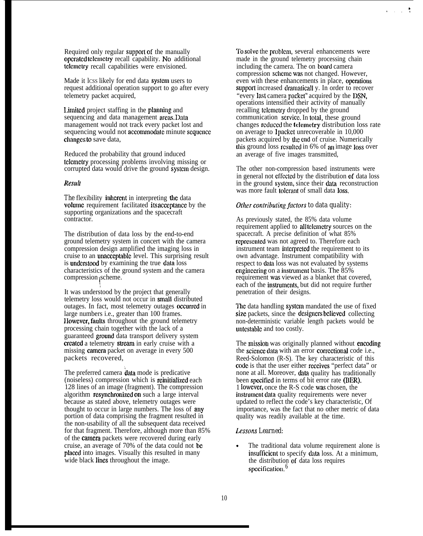Required only regular support of the manually operaled tclcmctry recall capability. No additional tclcmctry recall capabilities were envisioned.

Made it lcss likely for end data system users to request additional operation support to go after every telemetry packet acquired,

Limited project staffing in the planning and sequencing and data management areas. Data management would not track every packet lost and sequencing would not accommodate minute sequence changes to save data,

Reduced the probability that ground induced lclcmetry processing problems involving missing or corrupted data would drive the ground systcm design.

#### *Resull*

The flexibility inherent in interpreting the data volume requirement facilitated its acceptance by the supporting organizations and the spacecraft contractor.

The distribution of data loss by the end-to-end ground telemetry system in concert with the camera compression design amplified the imaging loss in cruise to an unacceptable level. This surprising result is understood by examining the true data loss characteristics of the ground system and the camera compression scheme. I

It was understood by the project that generally telemetry loss would not occur in smatl distributed outages. In fact, most telemetry outages occurred in large numbers i.e., greater than 100 frames. IIowcvcr, faults throughout the ground telemetry processing chain together with the lack of a guaranteed ground data transport delivery system created a telemetry stream in early cruise with a missing camera packet on average in every 500 packets recovered,

The preferred camera **data** mode is predicative (noiseless) compression which is reinitialized each 128 lines of an image (fragment). The compression algorithm **resynchronized on** such a large interval because as stated above, telemetry outages were thought to occur in large numbers. The loss of any portion of data comprising the fragment resulted in the non-usability of all the subsequent data received for that fragment. Therefore, although more than 85% of the camem packets were recovered during early cruise, an average of 70% of the data could not bc placd into images. Visually this resulted in many wide black lines throughout the image.

TO solve the problcm, several enhancements were made in the ground telemetry processing chain including the camera. The on board camera compression scheme was not changed. However, even with these enhancements in place, operations support increased dramaticall y. In order to recover "every last camera packel" acquired by the DSN, operations intensified their activity of manually recalling telemetry dropped by the ground communication scrvicc. In total, these ground changes reduced the telemetry distribution loss rate on average to **1** packet unrecoverable in 10,000 packets acquired by the cnd of cruise. Numerically this ground loss resulted in 6% of an image loss over an average of five images transmitted,

b  $\sqrt{2}$ 

The other non-compression based instruments were in general not cffcctcd by the distribution of data loss in the ground system, since their data reconstruction was more fault tolerant of small data loss,

### *Other contributing factors to data quality:*

As previously stated, the 85% data volume requirement applied to all telemetry sources on the spacecraft. A precise definition of what 85% represented was not agreed to. Therefore each instrument team interpreted the requirement to its own advantage. Instrument compatibility with respect to data loss was not evaluated by systems engineering on a instrument basis. The  $85\%$ requirement was viewed as a blanket that covered, each of the **instruments**, but did not require further penetration of their designs.

The data handling system mandated the use of fixed size packets, since the designers believed collecting non-deterministic variable length packets would be untcslablc and too costly.

The mission was originally planned without encoding the science data with an error correctional code i.e., Reed-Solomon (R-S). The key characteristic of this code is that the user either receives "perfect data" or none at all. Moreover, **data** quality has traditionally been speciticd in terms of bit error rate (BER). 1 Iowever, once the R-S code was chosen, the instrumcat data quality requirements were never updated to reflect the code's key characteristic, Of importance, was the fact that no other metric of data quality was readily available at the time.

## Lessons Learned:

. The traditional data volume requirement alone is insufficient to specify data loss. At a minimum, the distribution of data loss requires specification.  $6$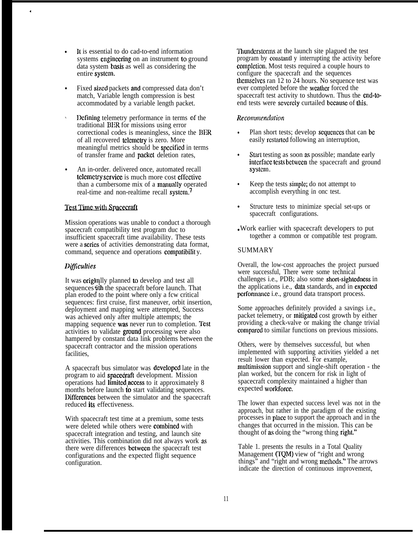- It is essential to do cad-to-end information systems engineering on an instrument to ground data system basis as well as considering the entire system.
- Fixed sized packets and compressed data don't match, Variable length compression is best accommodated by a variable length packet.
- ✎ Defining telemetry performance in terms of the traditional BER for missions using error correctional codes is meaningless, since the BER of all recovered telemetry is zero. More meaningful metrics should be spcciticd in terms of transfer frame and packet deletion rates,
- An in-order. delivered once, automated recall telemetry service is much more cost effective than a cumbersome mix of a manuatly operated real-time and non-realtime recall system.<sup>7</sup>

## **Test Time with Spacecraft**

Mission operations was unable to conduct a thorough spacecraft compatibility test program duc to insufficient spacecraft time availability. These tests were a **series** of activities demonstrating data format, command, sequence and operations compatibility.

# *Difficulties*

4

It was **origin**lly planned to develop and test all sequences with the spacecraft before launch. That plan eroded to the point where only a fcw critical sequences: first cruise, first maneuver, orbit insertion, deployment and mapping were attempted, Success was achieved only after multiple attempts; the mapping sequence was never run to completion. Test activities to validate ground processing were also hampered by constant data link problems between the spacecraft contractor and the mission operations facilities,

A spacecraft bus simulator was developed late in the program to aid **spacedraft** development. Mission operations had limitcd,access to it approximately 8 months before launch to start validating sequences. Differences between the simulator and the spacecraft reduced its effectiveness.

With spacecraft test time at a premium, some tests were deleted while others were combined with spacecraft integration and testing, and launch site activities. This combination did not always work as there were differences between the spacecraft test configurations and the expected flight sequence configuration.

Thunderstorms at the launch site plagued the test program by constantl y interrupting the activity before completion. Most tests required a couple hours to configure the spacecraft and the sequences thcmsclvcs ran 12 to 24 hours. No sequence test was ever completed before the weather forced the spacecraft test activity to shutdown. Thus the end-toend tests were severely curtailed because of this.

## *Rccommndolion*

- Plan short tests; develop sequences that can be easily restarted following an interruption,
- Start testing as soon as possible; mandate early interface tests between the spacecraft and ground system.
- Keep the tests simple; do not attempt to accomplish everything in onc test.
- Structure tests to minimize special set-ups or spacecraft configurations.
- Work earlier with spacecraft developers to put together a common or compatible test program.

## SUMMARY

Overall, the low-cost approaches the project pursued were successful, There were some technical challenges i.e., PDB; also some short-sightedncss in the applications i.e., data standards, and in expected pcrfonnanec i.e., ground data transport process.

Some approaches definitely provided a savings i.e., packet telemetry, or mitigated cost growth by either providing a check-valve or making the change trivial compared to similar functions on previous missions.

Others, were by themselves successful, but when implemented with supporting activities yielded a net result lower than expected. For example, multimission support and single-shift operation - the plan worked, but the concern for risk in light of spacecraft complexity maintained a higher than expected workforcc.

The lower than expected success level was not in the approach, but rather in the paradigm of the existing processes in place to support the approach and in the changes that occurred in the mission. This can be thought of as doing the "wrong thing right."

Table 1. presents the results in a Total Quality Management (TQM) view of "right and wrong things" and "right and wrong methods." The arrows indicate the direction of continuous improvement,